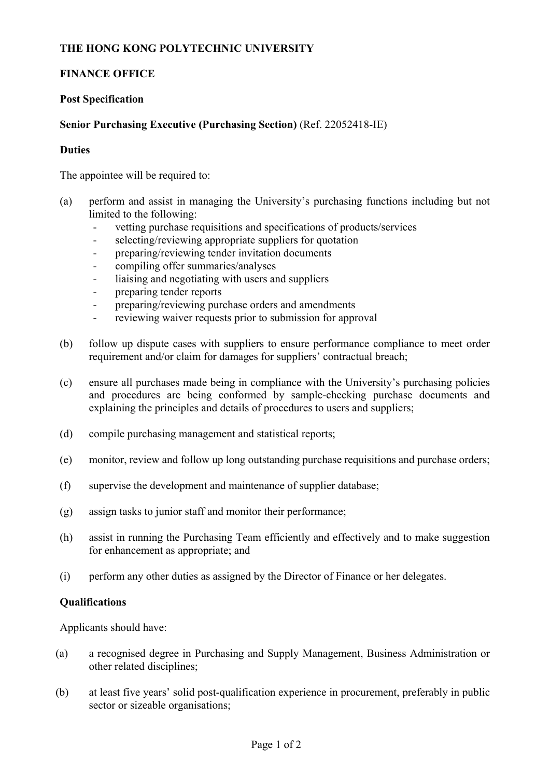## **THE HONG KONG POLYTECHNIC UNIVERSITY**

# **FINANCE OFFICE**

## **Post Specification**

# **Senior Purchasing Executive (Purchasing Section)** (Ref. 22052418-IE)

#### **Duties**

The appointee will be required to:

- (a) perform and assist in managing the University's purchasing functions including but not limited to the following:
	- vetting purchase requisitions and specifications of products/services
	- selecting/reviewing appropriate suppliers for quotation
	- preparing/reviewing tender invitation documents
	- compiling offer summaries/analyses
	- liaising and negotiating with users and suppliers
	- preparing tender reports
	- preparing/reviewing purchase orders and amendments
	- reviewing waiver requests prior to submission for approval
- (b) follow up dispute cases with suppliers to ensure performance compliance to meet order requirement and/or claim for damages for suppliers' contractual breach;
- (c) ensure all purchases made being in compliance with the University's purchasing policies and procedures are being conformed by sample-checking purchase documents and explaining the principles and details of procedures to users and suppliers;
- (d) compile purchasing management and statistical reports;
- (e) monitor, review and follow up long outstanding purchase requisitions and purchase orders;
- (f) supervise the development and maintenance of supplier database;
- (g) assign tasks to junior staff and monitor their performance;
- (h) assist in running the Purchasing Team efficiently and effectively and to make suggestion for enhancement as appropriate; and
- (i) perform any other duties as assigned by the Director of Finance or her delegates.

## **Qualifications**

Applicants should have:

- (a) a recognised degree in Purchasing and Supply Management, Business Administration or other related disciplines;
- (b) at least five years' solid post-qualification experience in procurement, preferably in public sector or sizeable organisations;